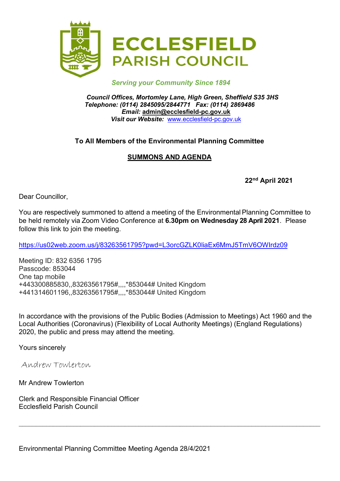

### Serving your Community Since 1894

Council Offices, Mortomley Lane, High Green, Sheffield S35 3HS Telephone: (0114) 2845095/2844771 Fax: (0114) 2869486 Email: admin@ecclesfield-pc.gov.uk Visit our Website: www.ecclesfield-pc.gov.uk

## To All Members of the Environmental Planning Committee

# SUMMONS AND AGENDA

22nd April 2021

Dear Councillor,

You are respectively summoned to attend a meeting of the Environmental Planning Committee to be held remotely via Zoom Video Conference at 6.30pm on Wednesday 28 April 2021. Please follow this link to join the meeting.

https://us02web.zoom.us/j/83263561795?pwd=L3orcGZLK0liaEx6MmJ5TmV6OWIrdz09

Meeting ID: 832 6356 1795 Passcode: 853044 One tap mobile +443300885830,,83263561795#,,,,\*853044# United Kingdom +441314601196,,83263561795#,,,,\*853044# United Kingdom

In accordance with the provisions of the Public Bodies (Admission to Meetings) Act 1960 and the Local Authorities (Coronavirus) (Flexibility of Local Authority Meetings) (England Regulations) 2020, the public and press may attend the meeting.

Yours sincerely

Andrew Towlerton

Mr Andrew Towlerton

Clerk and Responsible Financial Officer Ecclesfield Parish Council

Environmental Planning Committee Meeting Agenda 28/4/2021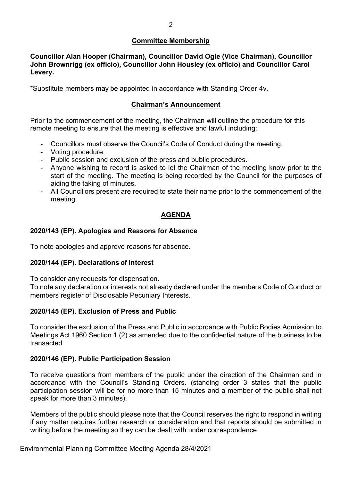### Committee Membership

Councillor Alan Hooper (Chairman), Councillor David Ogle (Vice Chairman), Councillor John Brownrigg (ex officio), Councillor John Housley (ex officio) and Councillor Carol Levery.

\*Substitute members may be appointed in accordance with Standing Order 4v.

## Chairman's Announcement

Prior to the commencement of the meeting, the Chairman will outline the procedure for this remote meeting to ensure that the meeting is effective and lawful including:

- Councillors must observe the Council's Code of Conduct during the meeting.
- Voting procedure.
- Public session and exclusion of the press and public procedures.
- Anyone wishing to record is asked to let the Chairman of the meeting know prior to the start of the meeting. The meeting is being recorded by the Council for the purposes of aiding the taking of minutes.
- All Councillors present are required to state their name prior to the commencement of the meeting.

## AGENDA

## 2020/143 (EP). Apologies and Reasons for Absence

To note apologies and approve reasons for absence.

#### 2020/144 (EP). Declarations of Interest

To consider any requests for dispensation.

To note any declaration or interests not already declared under the members Code of Conduct or members register of Disclosable Pecuniary Interests.

#### 2020/145 (EP). Exclusion of Press and Public

To consider the exclusion of the Press and Public in accordance with Public Bodies Admission to Meetings Act 1960 Section 1 (2) as amended due to the confidential nature of the business to be transacted.

#### 2020/146 (EP). Public Participation Session

To receive questions from members of the public under the direction of the Chairman and in accordance with the Council's Standing Orders. (standing order 3 states that the public participation session will be for no more than 15 minutes and a member of the public shall not speak for more than 3 minutes).

Members of the public should please note that the Council reserves the right to respond in writing if any matter requires further research or consideration and that reports should be submitted in writing before the meeting so they can be dealt with under correspondence.

Environmental Planning Committee Meeting Agenda 28/4/2021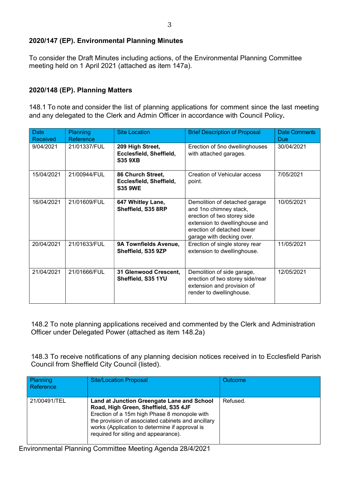## 2020/147 (EP). Environmental Planning Minutes

To consider the Draft Minutes including actions, of the Environmental Planning Committee meeting held on 1 April 2021 (attached as item 147a).

### 2020/148 (EP). Planning Matters

148.1 To note and consider the list of planning applications for comment since the last meeting and any delegated to the Clerk and Admin Officer in accordance with Council Policy.

| <b>Date</b><br><b>Received</b> | Planning<br>Reference | <b>Site Location</b>                                           | <b>Brief Description of Proposal</b>                                                                                                                                                | <b>Date Comments</b><br>Due |
|--------------------------------|-----------------------|----------------------------------------------------------------|-------------------------------------------------------------------------------------------------------------------------------------------------------------------------------------|-----------------------------|
| 9/04/2021                      | 21/01337/FUL          | 209 High Street,<br>Ecclesfield, Sheffield,<br><b>S35 9XB</b>  | Erection of 5no dwellinghouses<br>with attached garages.                                                                                                                            | 30/04/2021                  |
| 15/04/2021                     | 21/00944/FUL          | 86 Church Street,<br>Ecclesfield, Sheffield,<br><b>S35 9WE</b> | <b>Creation of Vehicular access</b><br>point.                                                                                                                                       | 7/05/2021                   |
| 16/04/2021                     | 21/01609/FUL          | 647 Whitley Lane,<br>Sheffield, S35 8RP                        | Demolition of detached garage<br>and 1no chimney stack,<br>erection of two storey side<br>extension to dwellinghouse and<br>erection of detached lower<br>garage with decking over. | 10/05/2021                  |
| 20/04/2021                     | 21/01633/FUL          | 9A Townfields Avenue,<br>Sheffield, S35 9ZP                    | Erection of single storey rear<br>extension to dwellinghouse.                                                                                                                       | 11/05/2021                  |
| 21/04/2021                     | 21/01666/FUL          | 31 Glenwood Crescent,<br>Sheffield, S35 1YU                    | Demolition of side garage,<br>erection of two storey side/rear<br>extension and provision of<br>render to dwellinghouse.                                                            | 12/05/2021                  |

148.2 To note planning applications received and commented by the Clerk and Administration Officer under Delegated Power (attached as item 148.2a)

148.3 To receive notifications of any planning decision notices received in to Ecclesfield Parish Council from Sheffield City Council (listed).

| Planning<br>Reference | <b>Site/Location Proposal</b>                                                                                                                                                                                                                                                      | <b>Outcome</b> |
|-----------------------|------------------------------------------------------------------------------------------------------------------------------------------------------------------------------------------------------------------------------------------------------------------------------------|----------------|
| 21/00491/TEL          | Land at Junction Greengate Lane and School<br>Road, High Green, Sheffield, S35 4JF<br>Erection of a 15m high Phase 8 monopole with<br>the provision of associated cabinets and ancillary<br>works (Application to determine if approval is<br>required for siting and appearance). | Refused.       |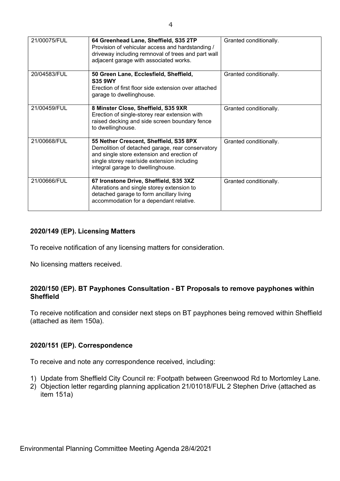| 21/00075/FUL | 64 Greenhead Lane, Sheffield, S35 2TP<br>Provision of vehicular access and hardstanding /<br>driveway including remnoval of trees and part wall<br>adjacent garage with associated works.                                    | Granted conditionally. |
|--------------|------------------------------------------------------------------------------------------------------------------------------------------------------------------------------------------------------------------------------|------------------------|
| 20/04583/FUL | 50 Green Lane, Ecclesfield, Sheffield,<br><b>S35 9WY</b><br>Erection of first floor side extension over attached<br>garage to dwellinghouse.                                                                                 | Granted conditionally. |
| 21/00459/FUL | 8 Minster Close, Sheffield, S35 9XR<br>Erection of single-storey rear extension with<br>raised decking and side screen boundary fence<br>to dwellinghouse.                                                                   | Granted conditionally. |
| 21/00668/FUL | 55 Nether Crescent, Sheffield, S35 8PX<br>Demolition of detached garage, rear conservatory<br>and single store extension and erection of<br>single storey rear/side extension including<br>integral garage to dwellinghouse. | Granted conditionally. |
| 21/00666/FUL | 67 Ironstone Drive, Sheffield, S35 3XZ<br>Alterations and single storey extension to<br>detached garage to form ancillary living<br>accommodation for a dependant relative.                                                  | Granted conditionally. |

## 2020/149 (EP). Licensing Matters

To receive notification of any licensing matters for consideration.

No licensing matters received.

#### 2020/150 (EP). BT Payphones Consultation - BT Proposals to remove payphones within **Sheffield**

To receive notification and consider next steps on BT payphones being removed within Sheffield (attached as item 150a).

#### 2020/151 (EP). Correspondence

To receive and note any correspondence received, including:

- 1) Update from Sheffield City Council re: Footpath between Greenwood Rd to Mortomley Lane.
- 2) Objection letter regarding planning application 21/01018/FUL 2 Stephen Drive (attached as item 151a)